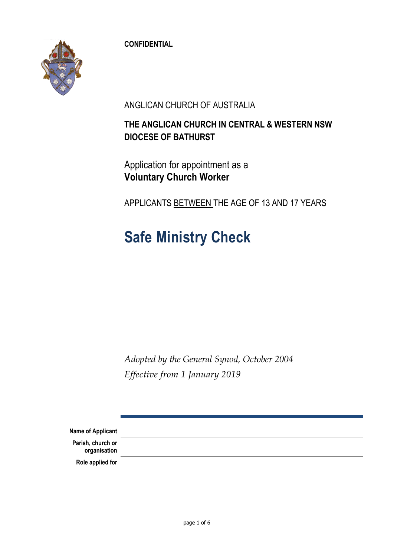**CONFIDENTIAL**



ANGLICAN CHURCH OF AUSTRALIA

### **THE ANGLICAN CHURCH IN CENTRAL & WESTERN NSW DIOCESE OF BATHURST**

Application for appointment as a **Voluntary Church Worker**

APPLICANTS BETWEEN THE AGE OF 13 AND 17 YEARS

# **Safe Ministry Check**

*Adopted by the General Synod, October 2004 Effective from 1 January 2019*

| <b>Name of Applicant</b>          |  |
|-----------------------------------|--|
| Parish, church or<br>organisation |  |
| Role applied for                  |  |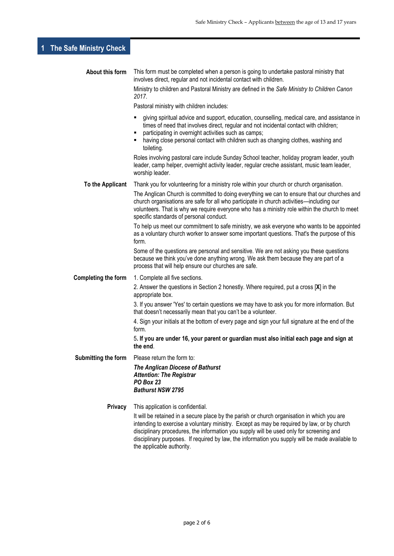## **1 The Safe Ministry Check**

| About this form     | This form must be completed when a person is going to undertake pastoral ministry that<br>involves direct, regular and not incidental contact with children.                                                                                                                                                                                                                                                         |  |  |  |
|---------------------|----------------------------------------------------------------------------------------------------------------------------------------------------------------------------------------------------------------------------------------------------------------------------------------------------------------------------------------------------------------------------------------------------------------------|--|--|--|
|                     | Ministry to children and Pastoral Ministry are defined in the Safe Ministry to Children Canon<br>2017.                                                                                                                                                                                                                                                                                                               |  |  |  |
|                     | Pastoral ministry with children includes:                                                                                                                                                                                                                                                                                                                                                                            |  |  |  |
|                     | giving spiritual advice and support, education, counselling, medical care, and assistance in<br>times of need that involves direct, regular and not incidental contact with children;<br>participating in overnight activities such as camps;<br>having close personal contact with children such as changing clothes, washing and<br>toileting.                                                                     |  |  |  |
|                     | Roles involving pastoral care include Sunday School teacher, holiday program leader, youth<br>leader, camp helper, overnight activity leader, regular creche assistant, music team leader,<br>worship leader.                                                                                                                                                                                                        |  |  |  |
| To the Applicant    | Thank you for volunteering for a ministry role within your church or church organisation.                                                                                                                                                                                                                                                                                                                            |  |  |  |
|                     | The Anglican Church is committed to doing everything we can to ensure that our churches and<br>church organisations are safe for all who participate in church activities—including our<br>volunteers. That is why we require everyone who has a ministry role within the church to meet<br>specific standards of personal conduct.                                                                                  |  |  |  |
|                     | To help us meet our commitment to safe ministry, we ask everyone who wants to be appointed<br>as a voluntary church worker to answer some important questions. That's the purpose of this<br>form.                                                                                                                                                                                                                   |  |  |  |
|                     | Some of the questions are personal and sensitive. We are not asking you these questions<br>because we think you've done anything wrong. We ask them because they are part of a<br>process that will help ensure our churches are safe.                                                                                                                                                                               |  |  |  |
| Completing the form | 1. Complete all five sections.                                                                                                                                                                                                                                                                                                                                                                                       |  |  |  |
|                     | 2. Answer the questions in Section 2 honestly. Where required, put a cross [X] in the<br>appropriate box.                                                                                                                                                                                                                                                                                                            |  |  |  |
|                     | 3. If you answer 'Yes' to certain questions we may have to ask you for more information. But<br>that doesn't necessarily mean that you can't be a volunteer.                                                                                                                                                                                                                                                         |  |  |  |
|                     | 4. Sign your initials at the bottom of every page and sign your full signature at the end of the<br>form.                                                                                                                                                                                                                                                                                                            |  |  |  |
|                     | 5. If you are under 16, your parent or guardian must also initial each page and sign at<br>the end.                                                                                                                                                                                                                                                                                                                  |  |  |  |
| Submitting the form | Please return the form to:                                                                                                                                                                                                                                                                                                                                                                                           |  |  |  |
|                     | <b>The Anglican Diocese of Bathurst</b><br><b>Attention: The Registrar</b><br>PO Box 23<br><b>Bathurst NSW 2795</b>                                                                                                                                                                                                                                                                                                  |  |  |  |
| Privacy             | This application is confidential.                                                                                                                                                                                                                                                                                                                                                                                    |  |  |  |
|                     | It will be retained in a secure place by the parish or church organisation in which you are<br>intending to exercise a voluntary ministry. Except as may be required by law, or by church<br>disciplinary procedures, the information you supply will be used only for screening and<br>disciplinary purposes. If required by law, the information you supply will be made available to<br>the applicable authority. |  |  |  |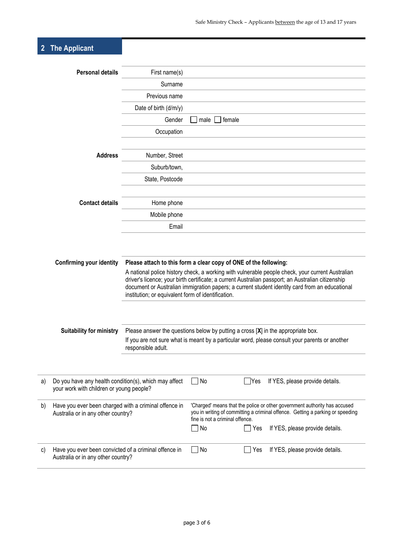# **2 The Applicant**

|                                                                       | <b>Personal details</b>                               | First name(s)                                                                                                                                                                                          |                                                                           |            |                                 |  |
|-----------------------------------------------------------------------|-------------------------------------------------------|--------------------------------------------------------------------------------------------------------------------------------------------------------------------------------------------------------|---------------------------------------------------------------------------|------------|---------------------------------|--|
|                                                                       |                                                       | Surname                                                                                                                                                                                                |                                                                           |            |                                 |  |
|                                                                       |                                                       | Previous name                                                                                                                                                                                          |                                                                           |            |                                 |  |
|                                                                       |                                                       | Date of birth (d/m/y)                                                                                                                                                                                  |                                                                           |            |                                 |  |
|                                                                       |                                                       | Gender                                                                                                                                                                                                 | male                                                                      | female     |                                 |  |
|                                                                       |                                                       | Occupation                                                                                                                                                                                             |                                                                           |            |                                 |  |
|                                                                       |                                                       |                                                                                                                                                                                                        |                                                                           |            |                                 |  |
|                                                                       | <b>Address</b>                                        | Number, Street                                                                                                                                                                                         |                                                                           |            |                                 |  |
|                                                                       |                                                       | Suburb/town,                                                                                                                                                                                           |                                                                           |            |                                 |  |
|                                                                       |                                                       | State, Postcode                                                                                                                                                                                        |                                                                           |            |                                 |  |
|                                                                       |                                                       |                                                                                                                                                                                                        |                                                                           |            |                                 |  |
|                                                                       | <b>Contact details</b>                                | Home phone                                                                                                                                                                                             |                                                                           |            |                                 |  |
|                                                                       |                                                       | Mobile phone                                                                                                                                                                                           |                                                                           |            |                                 |  |
|                                                                       |                                                       | Email                                                                                                                                                                                                  |                                                                           |            |                                 |  |
|                                                                       |                                                       |                                                                                                                                                                                                        |                                                                           |            |                                 |  |
|                                                                       |                                                       |                                                                                                                                                                                                        |                                                                           |            |                                 |  |
|                                                                       | <b>Confirming your identity</b>                       | Please attach to this form a clear copy of ONE of the following:                                                                                                                                       |                                                                           |            |                                 |  |
|                                                                       |                                                       | A national police history check, a working with vulnerable people check, your current Australian<br>driver's licence; your birth certificate; a current Australian passport; an Australian citizenship |                                                                           |            |                                 |  |
|                                                                       |                                                       | document or Australian immigration papers; a current student identity card from an educational                                                                                                         |                                                                           |            |                                 |  |
|                                                                       |                                                       | institution; or equivalent form of identification.                                                                                                                                                     |                                                                           |            |                                 |  |
|                                                                       |                                                       |                                                                                                                                                                                                        |                                                                           |            |                                 |  |
|                                                                       |                                                       |                                                                                                                                                                                                        |                                                                           |            |                                 |  |
|                                                                       | <b>Suitability for ministry</b>                       | Please answer the questions below by putting a cross $[X]$ in the appropriate box.                                                                                                                     |                                                                           |            |                                 |  |
|                                                                       |                                                       | If you are not sure what is meant by a particular word, please consult your parents or another<br>responsible adult.                                                                                   |                                                                           |            |                                 |  |
|                                                                       |                                                       |                                                                                                                                                                                                        |                                                                           |            |                                 |  |
|                                                                       |                                                       |                                                                                                                                                                                                        |                                                                           |            |                                 |  |
| a)                                                                    | Do you have any health condition(s), which may affect |                                                                                                                                                                                                        | $\Box$ No                                                                 | $\Box$ Yes | If YES, please provide details. |  |
|                                                                       | your work with children or young people?              |                                                                                                                                                                                                        |                                                                           |            |                                 |  |
| b)                                                                    | Have you ever been charged with a criminal offence in |                                                                                                                                                                                                        | 'Charged' means that the police or other government authority has accused |            |                                 |  |
| Australia or in any other country?<br>fine is not a criminal offence. |                                                       | you in writing of committing a criminal offence. Getting a parking or speeding                                                                                                                         |                                                                           |            |                                 |  |
|                                                                       |                                                       |                                                                                                                                                                                                        | No                                                                        | Yes        | If YES, please provide details. |  |
|                                                                       |                                                       |                                                                                                                                                                                                        |                                                                           |            |                                 |  |
| c)                                                                    | Have you ever been convicted of a criminal offence in |                                                                                                                                                                                                        | No                                                                        | Yes        | If YES, please provide details. |  |
|                                                                       | Australia or in any other country?                    |                                                                                                                                                                                                        |                                                                           |            |                                 |  |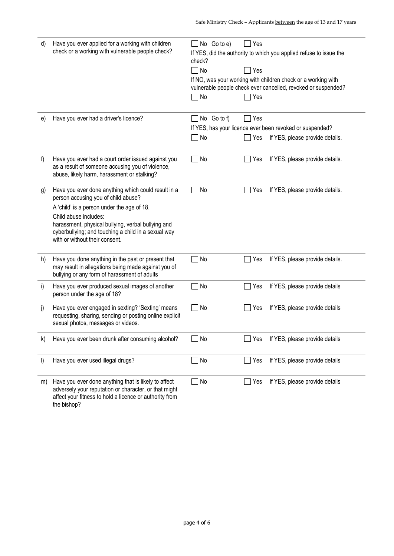| d)      | Have you ever applied for a working with children<br>check or-a working with vulnerable people check?                                                                                   | No Go to e)<br>check?<br>$\Box$ No<br>$\neg$ No | l Yes<br>$\Box$ Yes<br>Yes | If YES, did the authority to which you applied refuse to issue the<br>If NO, was your working with children check or a working with<br>vulnerable people check ever cancelled, revoked or suspended? |
|---------|-----------------------------------------------------------------------------------------------------------------------------------------------------------------------------------------|-------------------------------------------------|----------------------------|------------------------------------------------------------------------------------------------------------------------------------------------------------------------------------------------------|
| e)      | Have you ever had a driver's licence?                                                                                                                                                   | No Go to f)                                     | $\Box$ Yes                 |                                                                                                                                                                                                      |
|         |                                                                                                                                                                                         |                                                 |                            | If YES, has your licence ever been revoked or suspended?                                                                                                                                             |
|         |                                                                                                                                                                                         | $\Box$ No                                       | $\Box$ Yes                 | If YES, please provide details.                                                                                                                                                                      |
| f)      | Have you ever had a court order issued against you<br>as a result of someone accusing you of violence,<br>abuse, likely harm, harassment or stalking?                                   | No                                              | Yes                        | If YES, please provide details.                                                                                                                                                                      |
| g)      | Have you ever done anything which could result in a<br>person accusing you of child abuse?                                                                                              | No                                              | Yes                        | If YES, please provide details.                                                                                                                                                                      |
|         | A 'child' is a person under the age of 18.                                                                                                                                              |                                                 |                            |                                                                                                                                                                                                      |
|         | Child abuse includes:<br>harassment, physical bullying, verbal bullying and<br>cyberbullying; and touching a child in a sexual way<br>with or without their consent.                    |                                                 |                            |                                                                                                                                                                                                      |
| h)      | Have you done anything in the past or present that<br>may result in allegations being made against you of<br>bullying or any form of harassment of adults                               | No                                              | Yes                        | If YES, please provide details.                                                                                                                                                                      |
| i)      | Have you ever produced sexual images of another<br>person under the age of 18?                                                                                                          | No                                              | Yes                        | If YES, please provide details                                                                                                                                                                       |
| j)      | Have you ever engaged in sexting? 'Sexting' means<br>requesting, sharing, sending or posting online explicit<br>sexual photos, messages or videos.                                      | $\Box$ No                                       | Yes                        | If YES, please provide details                                                                                                                                                                       |
| k)      | Have you ever been drunk after consuming alcohol?                                                                                                                                       | No                                              | Yes                        | If YES, please provide details                                                                                                                                                                       |
| $\vert$ | Have you ever used illegal drugs?                                                                                                                                                       | No                                              | Yes                        | If YES, please provide details                                                                                                                                                                       |
| m)      | Have you ever done anything that is likely to affect<br>adversely your reputation or character, or that might<br>affect your fitness to hold a licence or authority from<br>the bishop? | No                                              | Yes                        | If YES, please provide details                                                                                                                                                                       |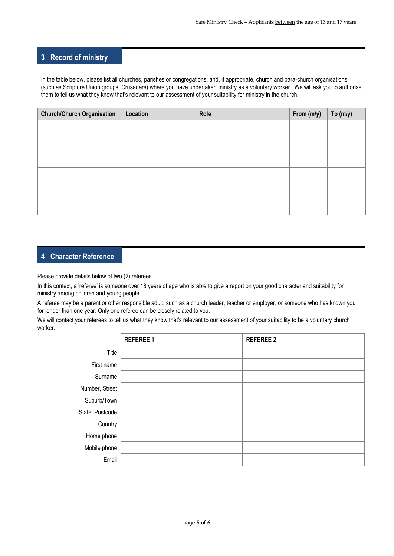### **3 Record of ministry**

In the table below, please list all churches, parishes or congregations, and, if appropriate, church and para-church organisations (such as Scripture Union groups, Crusaders) where you have undertaken ministry as a voluntary worker. We will ask you to authorise them to tell us what they know that's relevant to our assessment of your suitability for ministry in the church.

| <b>Church/Church Organisation</b> | Location | Role | From (m/y) | To $(m/y)$ |
|-----------------------------------|----------|------|------------|------------|
|                                   |          |      |            |            |
|                                   |          |      |            |            |
|                                   |          |      |            |            |
|                                   |          |      |            |            |
|                                   |          |      |            |            |
|                                   |          |      |            |            |
|                                   |          |      |            |            |

### **4 Character Reference**

Please provide details below of two (2) referees.

In this context, a 'referee' is someone over 18 years of age who is able to give a report on your good character and suitability for ministry among children and young people.

A referee may be a parent or other responsible adult, such as a church leader, teacher or employer, or someone who has known you for longer than one year. Only one referee can be closely related to you.

We will contact your referees to tell us what they know that's relevant to our assessment of your suitability to be a voluntary church worker.

|                 | <b>REFEREE 1</b> | <b>REFEREE 2</b> |
|-----------------|------------------|------------------|
| Title           |                  |                  |
| First name      |                  |                  |
| Surname         |                  |                  |
| Number, Street  |                  |                  |
| Suburb/Town     |                  |                  |
| State, Postcode |                  |                  |
| Country         |                  |                  |
| Home phone      |                  |                  |
| Mobile phone    |                  |                  |
| Email           |                  |                  |
|                 |                  |                  |